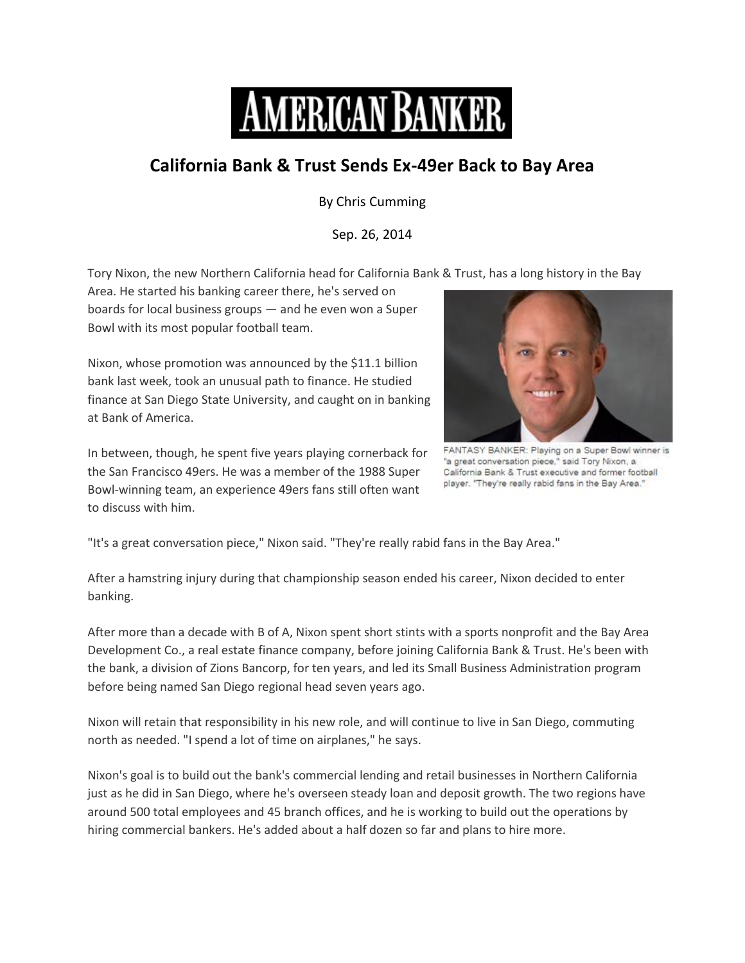

## **California Bank & Trust Sends Ex-49er Back to Bay Area**

By Chris Cumming

Sep. 26, 2014

Tory Nixon, the new Northern California head for California Bank & Trust, has a long history in the Bay

Area. He started his banking career there, he's served on boards for local business groups — and he even won a Super Bowl with its most popular football team.

Nixon, whose promotion was announced by the \$11.1 billion bank last week, took an unusual path to finance. He studied finance at San Diego State University, and caught on in banking at Bank of America.

In between, though, he spent five years playing cornerback for the San Francisco 49ers. He was a member of the 1988 Super Bowl-winning team, an experience 49ers fans still often want to discuss with him.



FANTASY BANKER: Playing on a Super Bowl winner is "a great conversation piece," said Tory Nixon, a California Bank & Trust executive and former football player. "They're really rabid fans in the Bay Area."

"It's a great conversation piece," Nixon said. "They're really rabid fans in the Bay Area."

After a hamstring injury during that championship season ended his career, Nixon decided to enter banking.

After more than a decade with B of A, Nixon spent short stints with a sports nonprofit and the Bay Area Development Co., a real estate finance company, before joining California Bank & Trust. He's been with the bank, a division of Zions Bancorp, for ten years, and led its Small Business Administration program before being named San Diego regional head seven years ago.

Nixon will retain that responsibility in his new role, and will continue to live in San Diego, commuting north as needed. "I spend a lot of time on airplanes," he says.

Nixon's goal is to build out the bank's commercial lending and retail businesses in Northern California just as he did in San Diego, where he's overseen steady loan and deposit growth. The two regions have around 500 total employees and 45 branch offices, and he is working to build out the operations by hiring commercial bankers. He's added about a half dozen so far and plans to hire more.